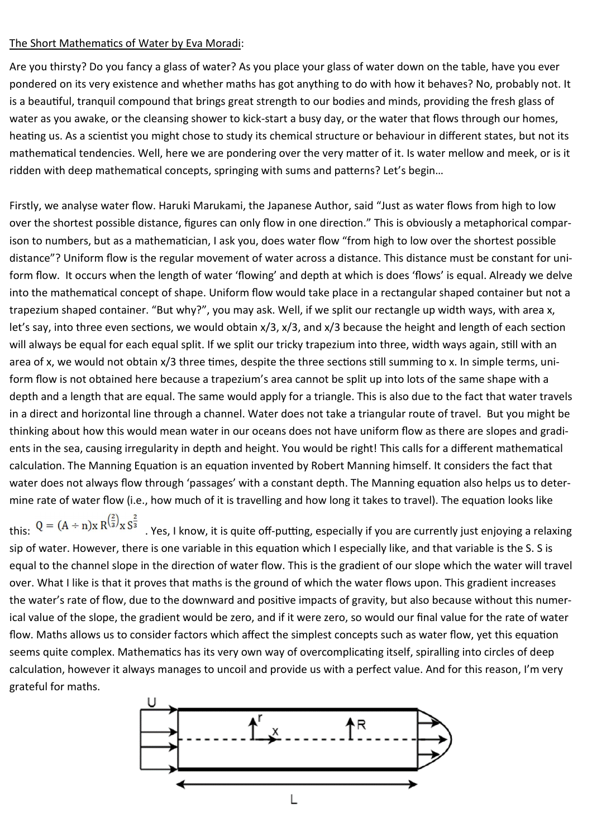## The Short Mathematics of Water by Eva Moradi:

Are you thirsty? Do you fancy a glass of water? As you place your glass of water down on the table, have you ever pondered on its very existence and whether maths has got anything to do with how it behaves? No, probably not. It is a beauful, tranquil compound that brings great strength to our bodies and minds, providing the fresh glass of water as you awake, or the cleansing shower to kick-start a busy day, or the water that flows through our homes, heating us. As a scientist you might chose to study its chemical structure or behaviour in different states, but not its mathematical tendencies. Well, here we are pondering over the very matter of it. Is water mellow and meek, or is it ridden with deep mathematical concepts, springing with sums and patterns? Let's begin...

Firstly, we analyse water flow. Haruki Marukami, the Japanese Author, said "Just as water flows from high to low over the shortest possible distance, figures can only flow in one direction." This is obviously a metaphorical comparison to numbers, but as a mathematician, I ask you, does water flow "from high to low over the shortest possible distance"? Uniform flow is the regular movement of water across a distance. This distance must be constant for uniform flow. It occurs when the length of water 'flowing' and depth at which is does 'flows' is equal. Already we delve into the mathematical concept of shape. Uniform flow would take place in a rectangular shaped container but not a trapezium shaped container. "But why?", you may ask. Well, if we split our rectangle up width ways, with area x, let's say, into three even sections, we would obtain  $x/3$ ,  $x/3$ , and  $x/3$  because the height and length of each section will always be equal for each equal split. If we split our tricky trapezium into three, width ways again, still with an area of x, we would not obtain x/3 three times, despite the three sections still summing to x. In simple terms, uniform flow is not obtained here because a trapezium's area cannot be split up into lots of the same shape with a depth and a length that are equal. The same would apply for a triangle. This is also due to the fact that water travels in a direct and horizontal line through a channel. Water does not take a triangular route of travel. But you might be thinking about how this would mean water in our oceans does not have uniform flow as there are slopes and gradients in the sea, causing irregularity in depth and height. You would be right! This calls for a different mathematical calculation. The Manning Equation is an equation invented by Robert Manning himself. It considers the fact that water does not always flow through 'passages' with a constant depth. The Manning equation also helps us to determine rate of water flow (i.e., how much of it is travelling and how long it takes to travel). The equation looks like

this:  $Q = (A \div n)x R^{2/3 \over 3} x S^{2/3}$ . Yes, I know, it is quite off-putting, especially if you are currently just enjoying a relaxing sip of water. However, there is one variable in this equation which I especially like, and that variable is the S. S is equal to the channel slope in the direction of water flow. This is the gradient of our slope which the water will travel over. What I like is that it proves that maths is the ground of which the water flows upon. This gradient increases the water's rate of flow, due to the downward and positive impacts of gravity, but also because without this numerical value of the slope, the gradient would be zero, and if it were zero, so would our final value for the rate of water flow. Maths allows us to consider factors which affect the simplest concepts such as water flow, yet this equation seems quite complex. Mathematics has its very own way of overcomplicating itself, spiralling into circles of deep calculation, however it always manages to uncoil and provide us with a perfect value. And for this reason, I'm very grateful for maths.